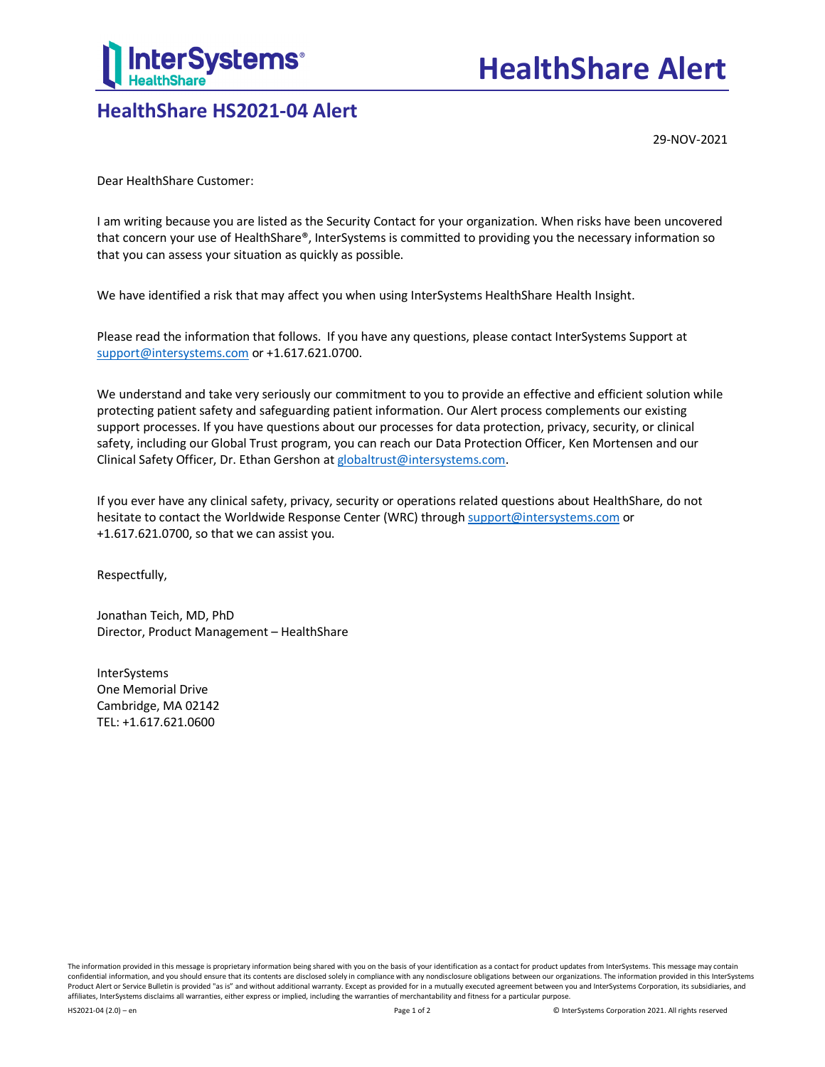

# **HealthShare HS2021-04 Alert**

29-NOV-2021

Dear HealthShare Customer:

I am writing because you are listed as the Security Contact for your organization. When risks have been uncovered that concern your use of HealthShare®, InterSystems is committed to providing you the necessary information so that you can assess your situation as quickly as possible.

We have identified a risk that may affect you when using InterSystems HealthShare Health Insight.

Please read the information that follows. If you have any questions, please contact InterSystems Support at [support@intersystems.com](mailto:support@intersystems.com?subject=HealthShare%20Alert%20HS2021-04) or +1.617.621.0700.

We understand and take very seriously our commitment to you to provide an effective and efficient solution while protecting patient safety and safeguarding patient information. Our Alert process complements our existing support processes. If you have questions about our processes for data protection, privacy, security, or clinical safety, including our Global Trust program, you can reach our Data Protection Officer, Ken Mortensen and our Clinical Safety Officer, Dr. Ethan Gershon a[t globaltrust@intersystems.com.](mailto:globaltrust@intersystems.com?subject=HealthShare%20Alert%20HS2021-04)

If you ever have any clinical safety, privacy, security or operations related questions about HealthShare, do not hesitate to contact the Worldwide Response Center (WRC) throug[h support@intersystems.com](mailto:dpo@intersystems.com?subject=HealthShare%20Alert%20HS2021-04) or +1.617.621.0700, so that we can assist you.

Respectfully,

Jonathan Teich, MD, PhD Director, Product Management – HealthShare

InterSystems One Memorial Drive Cambridge, MA 02142 TEL: +1.617.621.0600

The information provided in this message is proprietary information being shared with you on the basis of your identification as a contact for product updates from InterSystems. This message may contain confidential information, and you should ensure that its contents are disclosed solely in compliance with any nondisclosure obligations between our organizations. The information provided in this InterSystems Product Alert or Service Bulletin is provided "as is" and without additional warranty. Except as provided for in a mutually executed agreement between you and InterSystems Corporation, its subsidiaries, and affiliates, InterSystems disclaims all warranties, either express or implied, including the warranties of merchantability and fitness for a particular purpose.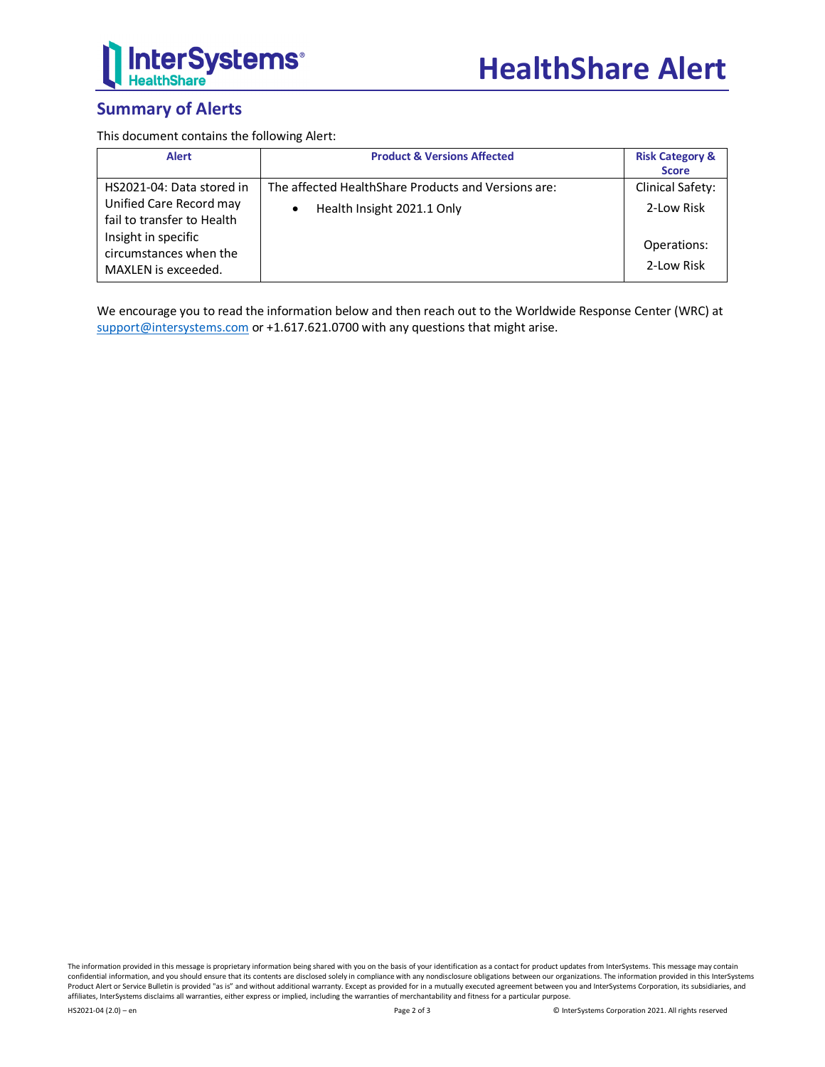

# **Summary of Alerts**

This document contains the following Alert:

| <b>Alert</b>                                                                                                                                               | <b>Product &amp; Versions Affected</b>                                                         | <b>Risk Category &amp;</b><br><b>Score</b>                  |
|------------------------------------------------------------------------------------------------------------------------------------------------------------|------------------------------------------------------------------------------------------------|-------------------------------------------------------------|
| HS2021-04: Data stored in<br>Unified Care Record may<br>fail to transfer to Health<br>Insight in specific<br>circumstances when the<br>MAXLEN is exceeded. | The affected HealthShare Products and Versions are:<br>Health Insight 2021.1 Only<br>$\bullet$ | Clinical Safety:<br>2-Low Risk<br>Operations:<br>2-Low Risk |

We encourage you to read the information below and then reach out to the Worldwide Response Center (WRC) at [support@intersystems.com](mailto:support@intersystems.com?subject=HealthShare%20Alert%20HS2021-XX) or +1.617.621.0700 with any questions that might arise.

The information provided in this message is proprietary information being shared with you on the basis of your identification as a contact for product updates from InterSystems. This message may contain confidential information, and you should ensure that its contents are disclosed solely in compliance with any nondisclosure obligations between our organizations. The information provided in this InterSystems Product Alert or Service Bulletin is provided "as is" and without additional warranty. Except as provided for in a mutually executed agreement between you and InterSystems Corporation, its subsidiaries, and affiliates, InterSystems disclaims all warranties, either express or implied, including the warranties of merchantability and fitness for a particular purpose.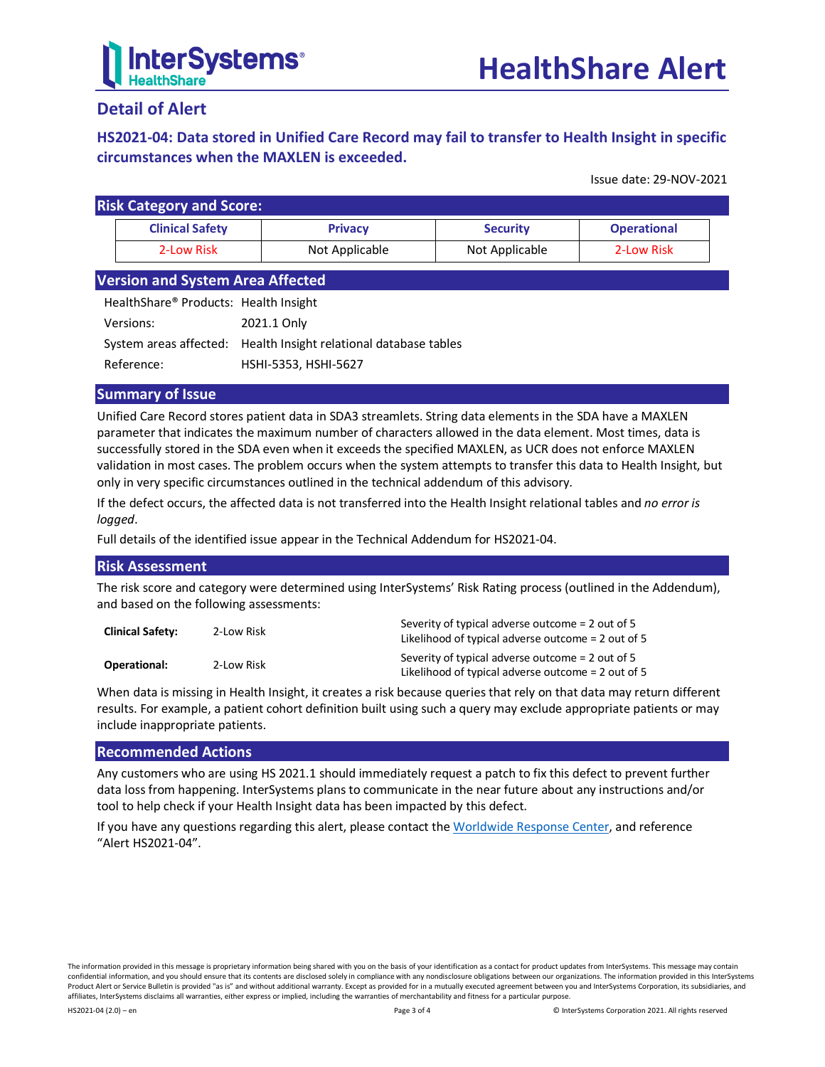

# **Detail of Alert**

# <span id="page-2-0"></span>**HS2021-04: Data stored in Unified Care Record may fail to transfer to Health Insight in specific circumstances when the MAXLEN is exceeded.**

Issue date: 29-NOV-2021

| <b>Risk Category and Score:</b> |                        |                |                 |                    |  |
|---------------------------------|------------------------|----------------|-----------------|--------------------|--|
|                                 | <b>Clinical Safety</b> | <b>Privacy</b> | <b>Security</b> | <b>Operational</b> |  |
|                                 | 2-Low Risk             | Not Applicable | Not Applicable  | 2-Low Risk         |  |

### **Version and System Area Affected**

| Health Share <sup>®</sup> Products: Health Insight |                                                                  |
|----------------------------------------------------|------------------------------------------------------------------|
| Versions:                                          | 2021.1 Only                                                      |
|                                                    | System areas affected: Health Insight relational database tables |
| Reference:                                         | HSHI-5353, HSHI-5627                                             |

#### **Summary of Issue**

Unified Care Record stores patient data in SDA3 streamlets. String data elements in the SDA have a MAXLEN parameter that indicates the maximum number of characters allowed in the data element. Most times, data is successfully stored in the SDA even when it exceeds the specified MAXLEN, as UCR does not enforce MAXLEN validation in most cases. The problem occurs when the system attempts to transfer this data to Health Insight, but only in very specific circumstances outlined in the technical addendum of this advisory.

If the defect occurs, the affected data is not transferred into the Health Insight relational tables and *no error is logged*.

Full details of the identified issue appear in the [Technical Addendum for HS2021-04.](#page-3-0)

#### **Risk Assessment**

The risk score and category were determined using InterSystems' Risk Rating process (outlined in the [Addendum\)](#page-4-0), and based on the following assessments:

| <b>Clinical Safety:</b> | 2-Low Risk | Severity of typical adverse outcome = 2 out of 5<br>Likelihood of typical adverse outcome $= 2$ out of 5 |
|-------------------------|------------|----------------------------------------------------------------------------------------------------------|
| Operational:            | 2-Low Risk | Severity of typical adverse outcome = 2 out of 5<br>Likelihood of typical adverse outcome $= 2$ out of 5 |

When data is missing in Health Insight, it creates a risk because queries that rely on that data may return different results. For example, a patient cohort definition built using such a query may exclude appropriate patients or may include inappropriate patients.

#### **Recommended Actions**

Any customers who are using HS 2021.1 should immediately request a patch to fix this defect to prevent further data loss from happening. InterSystems plans to communicate in the near future about any instructions and/or tool to help check if your Health Insight data has been impacted by this defect.

If you have any questions regarding this alert, please contact th[e Worldwide Response Center,](mailto:support@intersystems.com?subject=HealthShare%20Alert%20HS2021-04) and reference "Alert HS2021-04".

The information provided in this message is proprietary information being shared with you on the basis of your identification as a contact for product updates from InterSystems. This message may contain confidential information, and you should ensure that its contents are disclosed solely in compliance with any nondisclosure obligations between our organizations. The information provided in this InterSystems Product Alert or Service Bulletin is provided "as is" and without additional warranty. Except as provided for in a mutually executed agreement between you and InterSystems Corporation, its subsidiaries, and affiliates, InterSystems disclaims all warranties, either express or implied, including the warranties of merchantability and fitness for a particular purpose.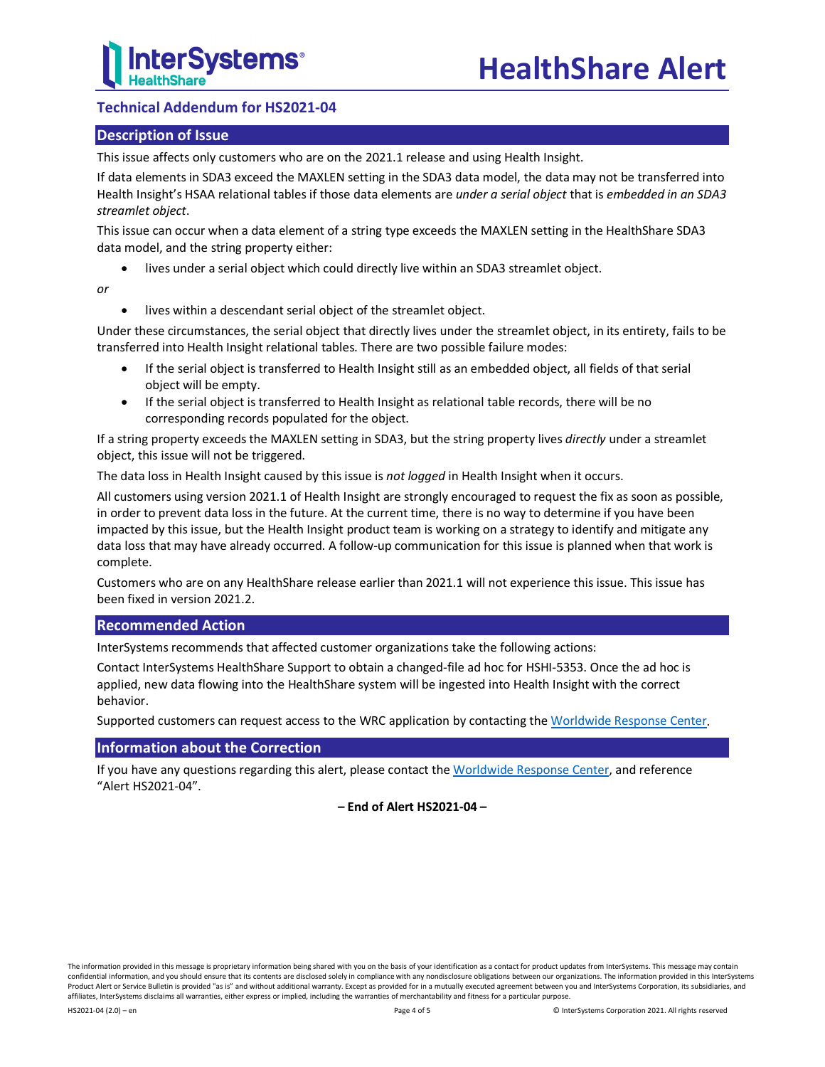## <span id="page-3-0"></span>**Technical Addendum for HS2021-04**

#### **Description of Issue**

This issue affects only customers who are on the 2021.1 release and using Health Insight.

If data elements in SDA3 exceed the MAXLEN setting in the SDA3 data model, the data may not be transferred into Health Insight's HSAA relational tables if those data elements are *under a serial object* that is *embedded in an SDA3 streamlet object*.

This issue can occur when a data element of a string type exceeds the MAXLEN setting in the HealthShare SDA3 data model, and the string property either:

lives under a serial object which could directly live within an SDA3 streamlet object.

*or*

• lives within a descendant serial object of the streamlet object.

Under these circumstances, the serial object that directly lives under the streamlet object, in its entirety, fails to be transferred into Health Insight relational tables. There are two possible failure modes:

- If the serial object is transferred to Health Insight still as an embedded object, all fields of that serial object will be empty.
- If the serial object is transferred to Health Insight as relational table records, there will be no corresponding records populated for the object.

If a string property exceeds the MAXLEN setting in SDA3, but the string property lives *directly* under a streamlet object, this issue will not be triggered.

The data loss in Health Insight caused by this issue is *not logged* in Health Insight when it occurs.

All customers using version 2021.1 of Health Insight are strongly encouraged to request the fix as soon as possible, in order to prevent data loss in the future. At the current time, there is no way to determine if you have been impacted by this issue, but the Health Insight product team is working on a strategy to identify and mitigate any data loss that may have already occurred. A follow-up communication for this issue is planned when that work is complete.

Customers who are on any HealthShare release earlier than 2021.1 will not experience this issue. This issue has been fixed in version 2021.2.

#### **Recommended Action**

InterSystems recommends that affected customer organizations take the following actions:

Contact InterSystems HealthShare Support to obtain a changed-file ad hoc for HSHI-5353. Once the ad hoc is applied, new data flowing into the HealthShare system will be ingested into Health Insight with the correct behavior.

Supported customers can request access to the WRC application by contacting the [Worldwide Response Center.](mailto:support@intersystems.com?subject=HealthShare%20Alert%20HS2021-04)

#### **Information about the Correction**

If you have any questions regarding this alert, please contact th[e Worldwide Response Center,](mailto:support@intersystems.com?subject=HealthShare%20Alert%20HS2021-04) and reference "Alert HS2021-04".

**– End of Alert HS2021-04 –**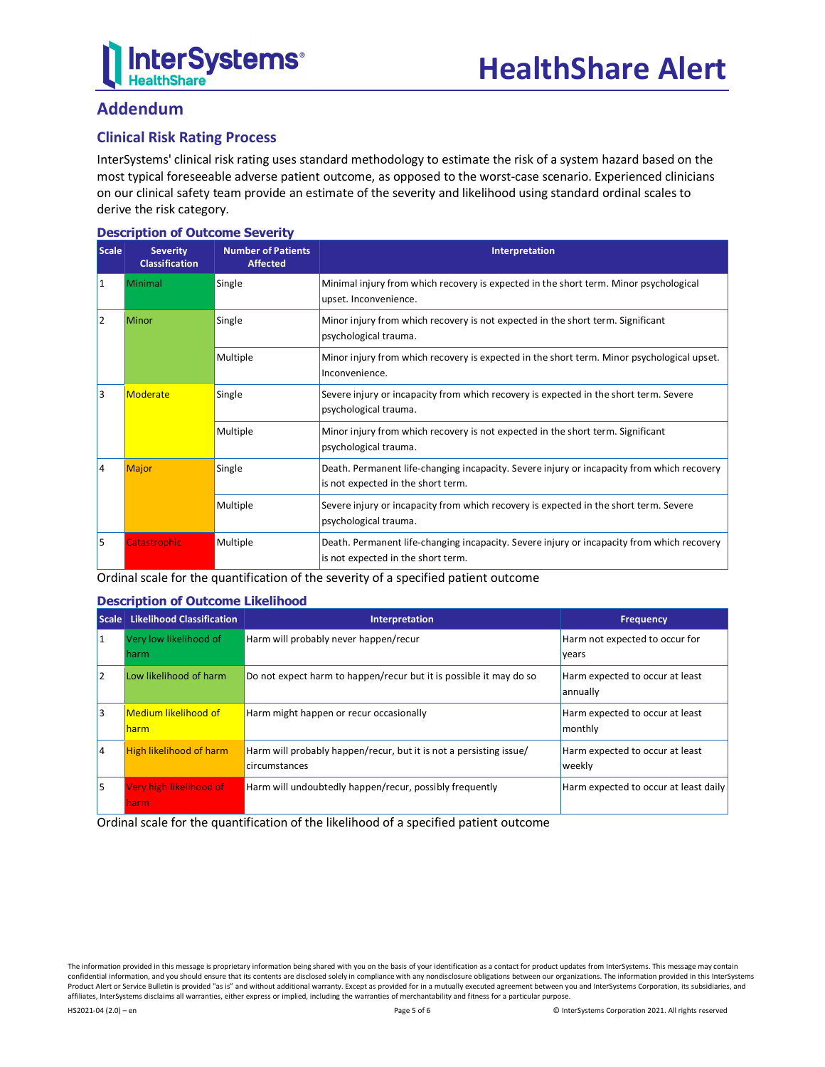

# <span id="page-4-0"></span>**Addendum**

## **Clinical Risk Rating Process**

InterSystems' clinical risk rating uses standard methodology to estimate the risk of a system hazard based on the most typical foreseeable adverse patient outcome, as opposed to the worst-case scenario. Experienced clinicians on our clinical safety team provide an estimate of the severity and likelihood using standard ordinal scales to derive the risk category.

#### **Description of Outcome Severity**

| <b>Scale</b>            | <b>Severity</b><br><b>Classification</b> | <b>Number of Patients</b><br><b>Affected</b> | Interpretation                                                                                                                   |
|-------------------------|------------------------------------------|----------------------------------------------|----------------------------------------------------------------------------------------------------------------------------------|
| 11                      | Minimal                                  | Single                                       | Minimal injury from which recovery is expected in the short term. Minor psychological<br>upset. Inconvenience.                   |
| 2                       | Minor                                    | Single                                       | Minor injury from which recovery is not expected in the short term. Significant<br>psychological trauma.                         |
|                         |                                          | Multiple                                     | Minor injury from which recovery is expected in the short term. Minor psychological upset.<br>Inconvenience.                     |
| 3<br>Moderate<br>Single |                                          |                                              | Severe injury or incapacity from which recovery is expected in the short term. Severe<br>psychological trauma.                   |
|                         |                                          | Multiple                                     | Minor injury from which recovery is not expected in the short term. Significant<br>psychological trauma.                         |
| 14                      | Major                                    | Single                                       | Death. Permanent life-changing incapacity. Severe injury or incapacity from which recovery<br>is not expected in the short term. |
|                         |                                          | Multiple                                     | Severe injury or incapacity from which recovery is expected in the short term. Severe<br>psychological trauma.                   |
| 5                       | <b>Catastrophic</b>                      | Multiple                                     | Death. Permanent life-changing incapacity. Severe injury or incapacity from which recovery<br>is not expected in the short term. |

Ordinal scale for the quantification of the severity of a specified patient outcome

#### **Description of Outcome Likelihood**

| <b>Scale</b> | <b>Likelihood Classification</b>    | Interpretation                                                                      | <b>Frequency</b>                            |
|--------------|-------------------------------------|-------------------------------------------------------------------------------------|---------------------------------------------|
| 11           | Very low likelihood of<br>harm      | Harm will probably never happen/recur                                               | Harm not expected to occur for<br>years     |
| l2           | Low likelihood of harm              | Do not expect harm to happen/recur but it is possible it may do so                  | Harm expected to occur at least<br>annually |
| l3           | <b>Medium likelihood of</b><br>harm | Harm might happen or recur occasionally                                             | Harm expected to occur at least<br>monthly  |
| 14           | <b>High likelihood of harm</b>      | Harm will probably happen/recur, but it is not a persisting issue/<br>circumstances | Harm expected to occur at least<br>weekly   |
| l5           | Very high likelihood of<br>harm.    | Harm will undoubtedly happen/recur, possibly frequently                             | Harm expected to occur at least daily       |

Ordinal scale for the quantification of the likelihood of a specified patient outcome

The information provided in this message is proprietary information being shared with you on the basis of your identification as a contact for product updates from InterSystems. This message may contain confidential information, and you should ensure that its contents are disclosed solely in compliance with any nondisclosure obligations between our organizations. The information provided in this InterSystems Product Alert or Service Bulletin is provided "as is" and without additional warranty. Except as provided for in a mutually executed agreement between you and InterSystems Corporation, its subsidiaries, and affiliates, InterSystems disclaims all warranties, either express or implied, including the warranties of merchantability and fitness for a particular purpose.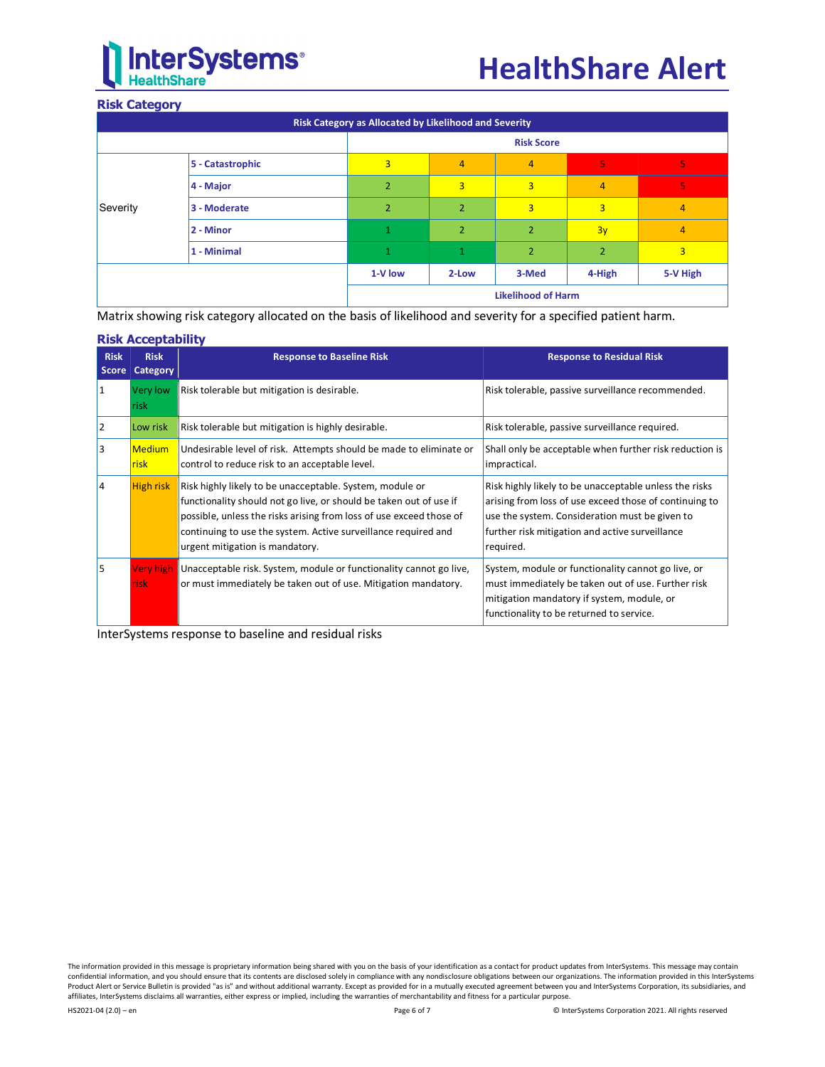# **InterSystems**®

#### **Risk Category**

|          | Risk Category as Allocated by Likelihood and Severity |                |                |                           |                |          |
|----------|-------------------------------------------------------|----------------|----------------|---------------------------|----------------|----------|
|          |                                                       |                |                | <b>Risk Score</b>         |                |          |
|          | 5 - Catastrophic                                      | 3              | $\overline{4}$ | 4                         | 5              | 5        |
| Severity | 4 - Major                                             | $\overline{2}$ | 3              | 3                         | 4              | 5        |
|          | 3 - Moderate                                          | $\overline{2}$ | $\overline{2}$ | 3                         | 3              | 4        |
|          | 2 - Minor                                             | 1              | $\overline{2}$ | $\overline{2}$            | 3y             | 4        |
|          | 1 - Minimal                                           | 1              | $\mathbf 1$    | 2                         | $\overline{2}$ | 3        |
|          |                                                       | 1-V low        | 2-Low          | 3-Med                     | 4-High         | 5-V High |
|          |                                                       |                |                | <b>Likelihood of Harm</b> |                |          |

Matrix showing risk category allocated on the basis of likelihood and severity for a specified patient harm.

#### **Risk Acceptability**

| <b>Risk</b><br><b>Score</b> | <b>Risk</b><br><b>Category</b> | <b>Response to Baseline Risk</b>                                                                                                                                                                                                                                                                           | <b>Response to Residual Risk</b>                                                                                                                                                                                                   |
|-----------------------------|--------------------------------|------------------------------------------------------------------------------------------------------------------------------------------------------------------------------------------------------------------------------------------------------------------------------------------------------------|------------------------------------------------------------------------------------------------------------------------------------------------------------------------------------------------------------------------------------|
|                             | Very low<br><b>risk</b>        | Risk tolerable but mitigation is desirable.                                                                                                                                                                                                                                                                | Risk tolerable, passive surveillance recommended.                                                                                                                                                                                  |
| 2                           | Low risk                       | Risk tolerable but mitigation is highly desirable.                                                                                                                                                                                                                                                         | Risk tolerable, passive surveillance required.                                                                                                                                                                                     |
| 3                           | <b>Medium</b><br><b>risk</b>   | Undesirable level of risk. Attempts should be made to eliminate or<br>control to reduce risk to an acceptable level.                                                                                                                                                                                       | Shall only be acceptable when further risk reduction is<br>impractical.                                                                                                                                                            |
| 14                          | <b>High risk</b>               | Risk highly likely to be unacceptable. System, module or<br>functionality should not go live, or should be taken out of use if<br>possible, unless the risks arising from loss of use exceed those of<br>continuing to use the system. Active surveillance required and<br>urgent mitigation is mandatory. | Risk highly likely to be unacceptable unless the risks<br>arising from loss of use exceed those of continuing to<br>use the system. Consideration must be given to<br>further risk mitigation and active surveillance<br>required. |
| l5                          | Very high<br>isk               | Unacceptable risk. System, module or functionality cannot go live,<br>or must immediately be taken out of use. Mitigation mandatory.                                                                                                                                                                       | System, module or functionality cannot go live, or<br>must immediately be taken out of use. Further risk<br>mitigation mandatory if system, module, or<br>functionality to be returned to service.                                 |

InterSystems response to baseline and residual risks

The information provided in this message is proprietary information being shared with you on the basis of your identification as a contact for product updates from InterSystems. This message may contain confidential information, and you should ensure that its contents are disclosed solely in compliance with any nondisclosure obligations between our organizations. The information provided in this InterSystems<br>Product Alert affiliates, InterSystems disclaims all warranties, either express or implied, including the warranties of merchantability and fitness for a particular purpose.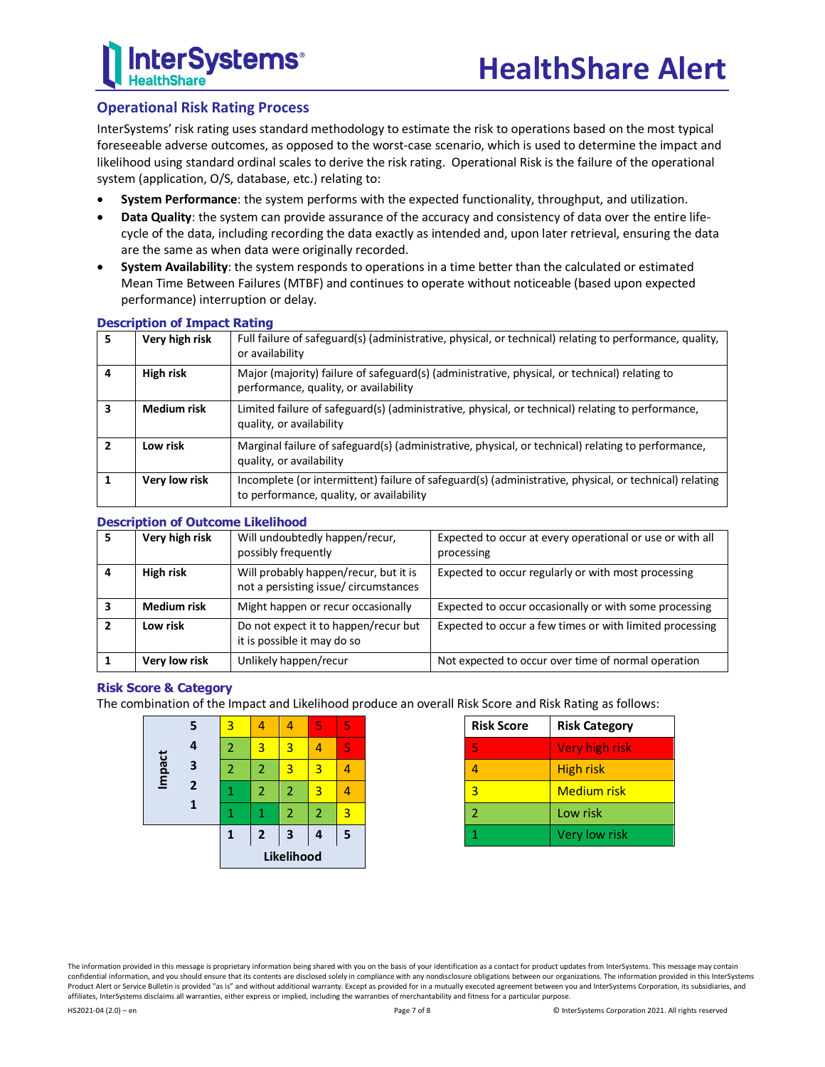

## **Operational Risk Rating Process**

InterSystems' risk rating uses standard methodology to estimate the risk to operations based on the most typical foreseeable adverse outcomes, as opposed to the worst-case scenario, which is used to determine the impact and likelihood using standard ordinal scales to derive the risk rating. Operational Risk is the failure of the operational system (application, O/S, database, etc.) relating to:

- **System Performance**: the system performs with the expected functionality, throughput, and utilization.
- **Data Quality**: the system can provide assurance of the accuracy and consistency of data over the entire lifecycle of the data, including recording the data exactly as intended and, upon later retrieval, ensuring the data are the same as when data were originally recorded.
- **System Availability**: the system responds to operations in a time better than the calculated or estimated Mean Time Between Failures (MTBF) and continues to operate without noticeable (based upon expected performance) interruption or delay.

|   | pesenperon or innpact rathig |                                                                                                                                                    |
|---|------------------------------|----------------------------------------------------------------------------------------------------------------------------------------------------|
| 5 | Very high risk               | Full failure of safeguard(s) (administrative, physical, or technical) relating to performance, quality,<br>or availability                         |
| 4 | High risk                    | Major (majority) failure of safeguard(s) (administrative, physical, or technical) relating to<br>performance, quality, or availability             |
| 3 | <b>Medium risk</b>           | Limited failure of safeguard(s) (administrative, physical, or technical) relating to performance,<br>quality, or availability                      |
| 2 | Low risk                     | Marginal failure of safeguard(s) (administrative, physical, or technical) relating to performance,<br>quality, or availability                     |
|   | Very low risk                | Incomplete (or intermittent) failure of safeguard(s) (administrative, physical, or technical) relating<br>to performance, quality, or availability |

#### **Description of Impact Rating**

#### **Description of Outcome Likelihood**

| <b>Description of Outcome Linemious</b> |                                                                                |                                                                         |
|-----------------------------------------|--------------------------------------------------------------------------------|-------------------------------------------------------------------------|
| Very high risk                          | Will undoubtedly happen/recur,<br>possibly frequently                          | Expected to occur at every operational or use or with all<br>processing |
| High risk                               | Will probably happen/recur, but it is<br>not a persisting issue/ circumstances | Expected to occur regularly or with most processing                     |
| <b>Medium risk</b>                      | Might happen or recur occasionally                                             | Expected to occur occasionally or with some processing                  |
| Low risk                                | Do not expect it to happen/recur but<br>it is possible it may do so            | Expected to occur a few times or with limited processing                |
| Very low risk                           | Unlikely happen/recur                                                          | Not expected to occur over time of normal operation                     |

#### **Risk Score & Category**

The combination of the Impact and Likelihood produce an overall Risk Score and Risk Rating as follows:

|        | 5              | 3              |                | 4              | 5              | 5 |
|--------|----------------|----------------|----------------|----------------|----------------|---|
| Impact | 4              | $\overline{2}$ | 3              | 3              | 4              | 5 |
|        | 3              | 2              | 2              | $\overline{3}$ | 3              | л |
|        | $\overline{2}$ |                | 2              | $\overline{2}$ | 3              | 4 |
|        |                |                | 1              | 2              | $\overline{2}$ | 3 |
|        |                | 1              | $\overline{2}$ | 3              | 4              | 5 |
|        |                | Likelihood     |                |                |                |   |

| <b>Risk Score</b> | <b>Risk Category</b>  |
|-------------------|-----------------------|
| 5                 | <b>Very high risk</b> |
| 4                 | <b>High risk</b>      |
| 3                 | <b>Medium risk</b>    |
| Ž                 | Low risk              |
|                   | Very low risk         |

The information provided in this message is proprietary information being shared with you on the basis of your identification as a contact for product updates from InterSystems. This message may contain confidential information, and you should ensure that its contents are disclosed solely in compliance with any nondisclosure obligations between our organizations. The information provided in this InterSystems Product Alert or Service Bulletin is provided "as is" and without additional warranty. Except as provided for in a mutually executed agreement between you and InterSystems Corporation, its subsidiaries, and affiliates, InterSystems disclaims all warranties, either express or implied, including the warranties of merchantability and fitness for a particular purpose.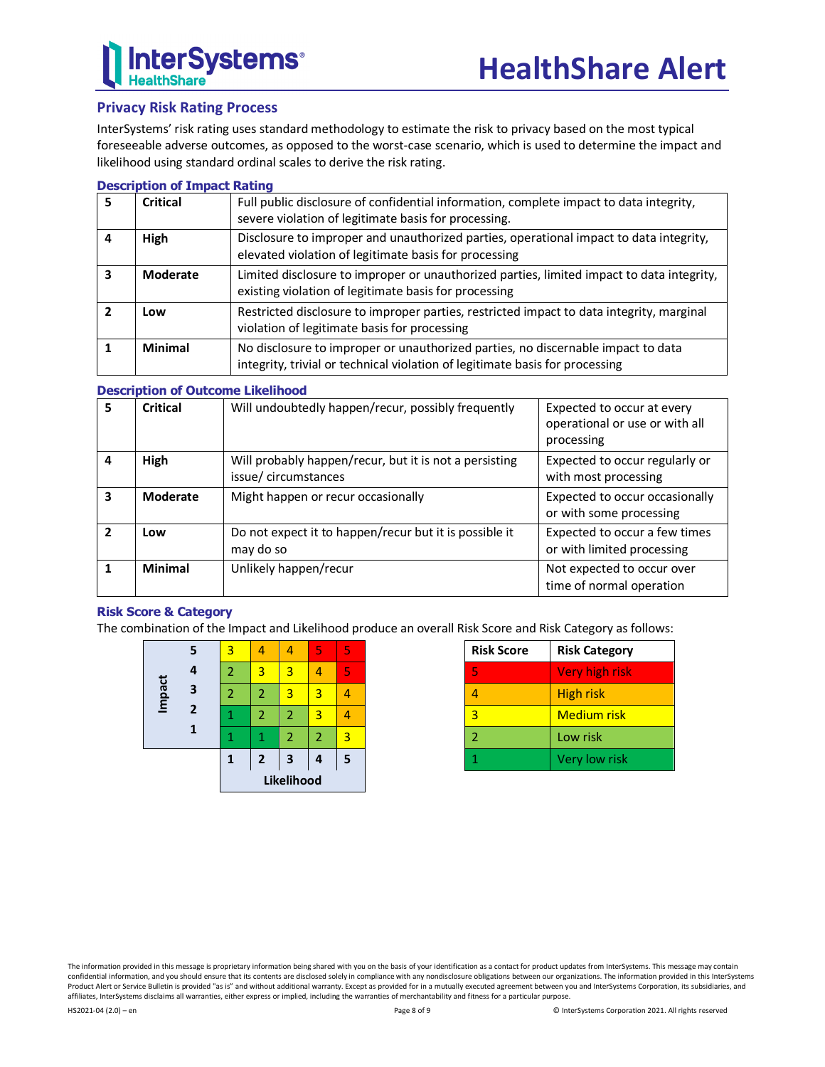# **Privacy Risk Rating Process**

InterSystems' risk rating uses standard methodology to estimate the risk to privacy based on the most typical foreseeable adverse outcomes, as opposed to the worst-case scenario, which is used to determine the impact and likelihood using standard ordinal scales to derive the risk rating.

#### **Description of Impact Rating**

| 5 | Critical        | Full public disclosure of confidential information, complete impact to data integrity,<br>severe violation of legitimate basis for processing.                   |
|---|-----------------|------------------------------------------------------------------------------------------------------------------------------------------------------------------|
| 4 | <b>High</b>     | Disclosure to improper and unauthorized parties, operational impact to data integrity,<br>elevated violation of legitimate basis for processing                  |
|   | <b>Moderate</b> | Limited disclosure to improper or unauthorized parties, limited impact to data integrity,<br>existing violation of legitimate basis for processing               |
|   | Low             | Restricted disclosure to improper parties, restricted impact to data integrity, marginal<br>violation of legitimate basis for processing                         |
|   | Minimal         | No disclosure to improper or unauthorized parties, no discernable impact to data<br>integrity, trivial or technical violation of legitimate basis for processing |

#### **Description of Outcome Likelihood**

| 5              | <b>Critical</b> | Will undoubtedly happen/recur, possibly frequently                            | Expected to occur at every<br>operational or use or with all<br>processing |  |  |
|----------------|-----------------|-------------------------------------------------------------------------------|----------------------------------------------------------------------------|--|--|
| 4              | High            | Will probably happen/recur, but it is not a persisting<br>issue/circumstances | Expected to occur regularly or<br>with most processing                     |  |  |
| 3              | Moderate        | Might happen or recur occasionally                                            | Expected to occur occasionally<br>or with some processing                  |  |  |
| $\overline{2}$ | Low             | Do not expect it to happen/recur but it is possible it<br>may do so           | Expected to occur a few times<br>or with limited processing                |  |  |
|                | Minimal         | Unlikely happen/recur                                                         | Not expected to occur over<br>time of normal operation                     |  |  |

#### **Risk Score & Category**

The combination of the Impact and Likelihood produce an overall Risk Score and Risk Category as follows:

|        |                         | Likelihood |                |                         |   |   |
|--------|-------------------------|------------|----------------|-------------------------|---|---|
|        |                         | 1          | $\overline{2}$ | $\overline{\mathbf{3}}$ | 4 | 5 |
|        | 1                       | 1          | 1              | $\overline{2}$          | 2 | 3 |
|        | $\overline{\mathbf{2}}$ | 1          | 2              | $\overline{2}$          | 3 |   |
| Impact | 3                       | 2          | $\overline{2}$ | 3                       | 3 |   |
|        | 4                       | 2          | 3              | 3                       |   | 5 |
|        | 5                       | 3          | 4              | Δ                       | 5 | 5 |

| <b>Risk Score</b> | <b>Risk Category</b> |  |  |
|-------------------|----------------------|--|--|
| 5                 | Very high risk       |  |  |
|                   | High risk            |  |  |
| 3                 | <b>Medium risk</b>   |  |  |
| 2                 | Low risk             |  |  |
|                   | Very low risk        |  |  |

The information provided in this message is proprietary information being shared with you on the basis of your identification as a contact for product updates from InterSystems. This message may contain confidential information, and you should ensure that its contents are disclosed solely in compliance with any nondisclosure obligations between our organizations. The information provided in this InterSystems Product Alert or Service Bulletin is provided "as is" and without additional warranty. Except as provided for in a mutually executed agreement between you and InterSystems Corporation, its subsidiaries, and affiliates, InterSystems disclaims all warranties, either express or implied, including the warranties of merchantability and fitness for a particular purpose.